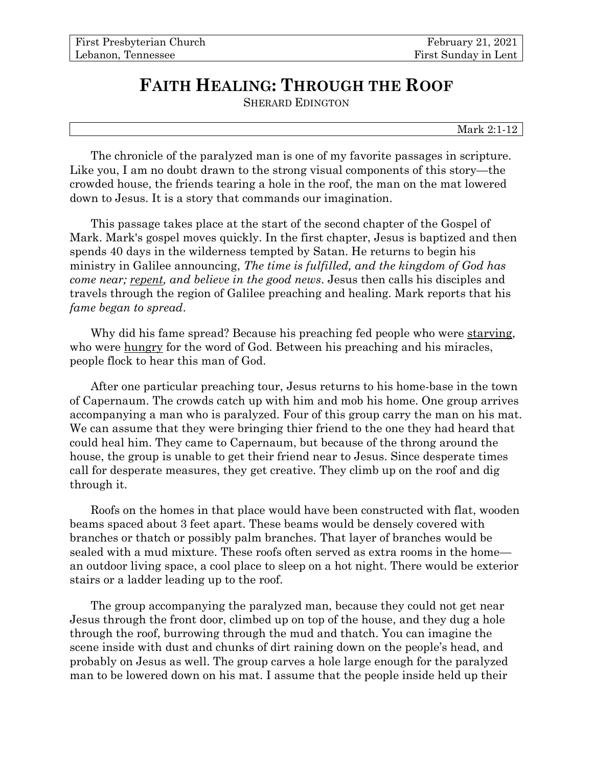## **FAITH HEALING: THROUGH THE ROOF**

SHERARD EDINGTON

Mark 2:1-12

The chronicle of the paralyzed man is one of my favorite passages in scripture. Like you, I am no doubt drawn to the strong visual components of this story—the crowded house, the friends tearing a hole in the roof, the man on the mat lowered down to Jesus. It is a story that commands our imagination.

This passage takes place at the start of the second chapter of the Gospel of Mark. Mark's gospel moves quickly. In the first chapter, Jesus is baptized and then spends 40 days in the wilderness tempted by Satan. He returns to begin his ministry in Galilee announcing, *The time is fulfilled, and the kingdom of God has come near; repent, and believe in the good news*. Jesus then calls his disciples and travels through the region of Galilee preaching and healing. Mark reports that his *fame began to spread*.

Why did his fame spread? Because his preaching fed people who were starving, who were hungry for the word of God. Between his preaching and his miracles, people flock to hear this man of God.

After one particular preaching tour, Jesus returns to his home-base in the town of Capernaum. The crowds catch up with him and mob his home. One group arrives accompanying a man who is paralyzed. Four of this group carry the man on his mat. We can assume that they were bringing thier friend to the one they had heard that could heal him. They came to Capernaum, but because of the throng around the house, the group is unable to get their friend near to Jesus. Since desperate times call for desperate measures, they get creative. They climb up on the roof and dig through it.

Roofs on the homes in that place would have been constructed with flat, wooden beams spaced about 3 feet apart. These beams would be densely covered with branches or thatch or possibly palm branches. That layer of branches would be sealed with a mud mixture. These roofs often served as extra rooms in the home an outdoor living space, a cool place to sleep on a hot night. There would be exterior stairs or a ladder leading up to the roof.

The group accompanying the paralyzed man, because they could not get near Jesus through the front door, climbed up on top of the house, and they dug a hole through the roof, burrowing through the mud and thatch. You can imagine the scene inside with dust and chunks of dirt raining down on the people's head, and probably on Jesus as well. The group carves a hole large enough for the paralyzed man to be lowered down on his mat. I assume that the people inside held up their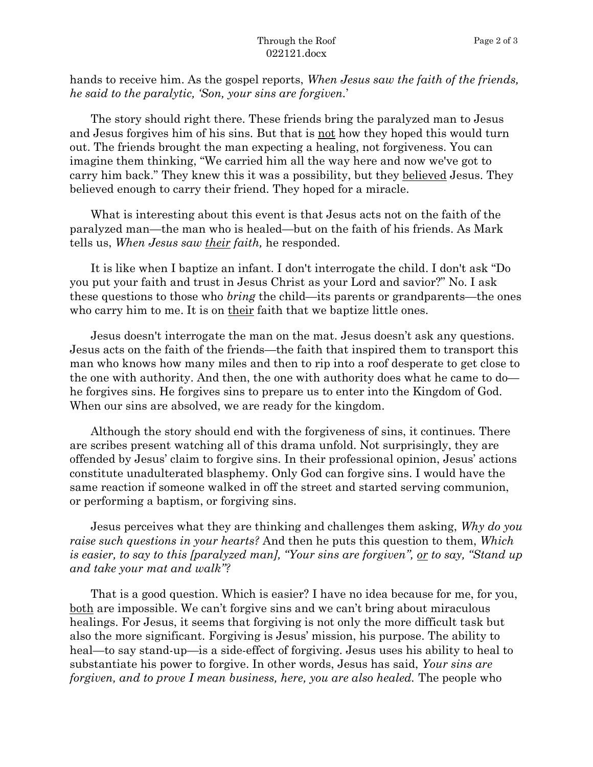hands to receive him. As the gospel reports, *When Jesus saw the faith of the friends, he said to the paralytic, 'Son, your sins are forgiven.*'

The story should right there. These friends bring the paralyzed man to Jesus and Jesus forgives him of his sins. But that is not how they hoped this would turn out. The friends brought the man expecting a healing, not forgiveness. You can imagine them thinking, "We carried him all the way here and now we've got to carry him back." They knew this it was a possibility, but they believed Jesus. They believed enough to carry their friend. They hoped for a miracle.

What is interesting about this event is that Jesus acts not on the faith of the paralyzed man—the man who is healed—but on the faith of his friends. As Mark tells us, *When Jesus saw their faith,* he responded.

It is like when I baptize an infant. I don't interrogate the child. I don't ask "Do you put your faith and trust in Jesus Christ as your Lord and savior?" No. I ask these questions to those who *bring* the child—its parents or grandparents—the ones who carry him to me. It is on their faith that we baptize little ones.

Jesus doesn't interrogate the man on the mat. Jesus doesn't ask any questions. Jesus acts on the faith of the friends—the faith that inspired them to transport this man who knows how many miles and then to rip into a roof desperate to get close to the one with authority. And then, the one with authority does what he came to do he forgives sins. He forgives sins to prepare us to enter into the Kingdom of God. When our sins are absolved, we are ready for the kingdom.

Although the story should end with the forgiveness of sins, it continues. There are scribes present watching all of this drama unfold. Not surprisingly, they are offended by Jesus' claim to forgive sins. In their professional opinion, Jesus' actions constitute unadulterated blasphemy. Only God can forgive sins. I would have the same reaction if someone walked in off the street and started serving communion, or performing a baptism, or forgiving sins.

Jesus perceives what they are thinking and challenges them asking, *Why do you raise such questions in your hearts?* And then he puts this question to them, *Which is easier, to say to this [paralyzed man], "Your sins are forgiven", or to say, "Stand up and take your mat and walk"?*

That is a good question. Which is easier? I have no idea because for me, for you, both are impossible. We can't forgive sins and we can't bring about miraculous healings. For Jesus, it seems that forgiving is not only the more difficult task but also the more significant. Forgiving is Jesus' mission, his purpose. The ability to heal—to say stand-up—is a side-effect of forgiving. Jesus uses his ability to heal to substantiate his power to forgive. In other words, Jesus has said, *Your sins are forgiven, and to prove I mean business, here, you are also healed.* The people who